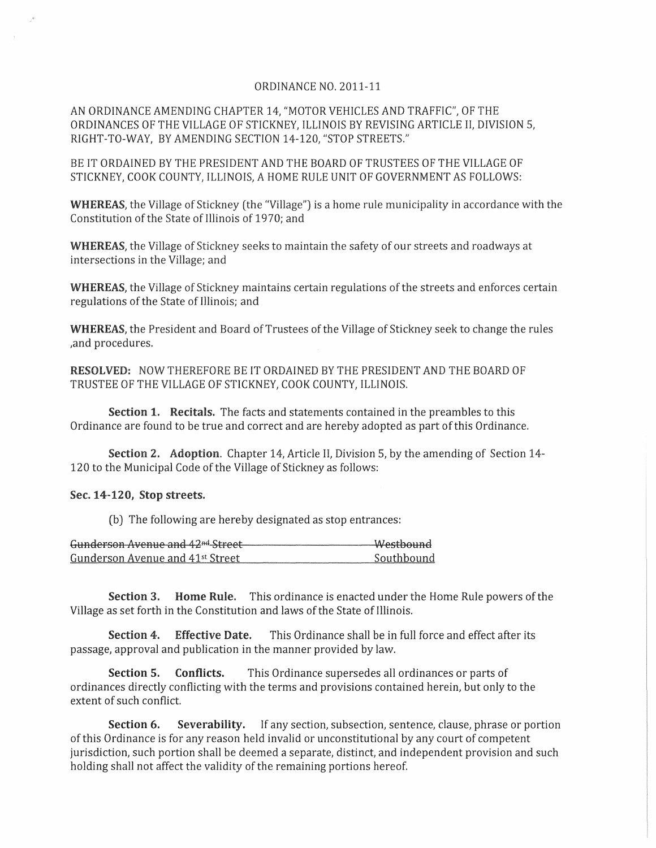## ORDINANCE NO, 2011-11

AN ORDINANCE AMENDING CHAPTER 14, "MOTOR VEHICLES AND TRAFFIC", OF THE ORDINANCES OF THE VILLAGE OF STICKNEY, ILLINOIS BY REVISING ARTICLE II, DIVISION 5, RIGHT-TO-WAY, BY AMENDING SECTION 14-120, "STOP STREETS,"

BE IT ORDAINED BY THE PRESIDENT AND THE BOARD OF TRUSTEES OF THE VILLAGE OF STICKNEY, COOK COUNTY, ILLINOIS, A HOME RULE UNIT OF GOVERNMENT AS FOLLOWS:

WHEREAS, the Village of Stickney (the "Village") is a home rule municipality in accordance with the Constitution of the State of Illinois of1970; and

WHEREAS, the Village of Stickney seeks to maintain the safety of our streets and roadways at intersections in the Village; and

WHEREAS, the Village of Stickney maintains certain regulations of the streets and enforces certain regulations of the State of Illinois; and

WHEREAS, the President and Board of Trustees of the Village of Stickney seek to change the rules ,and procedures,

RESOLVED: NOW THEREFORE BE IT ORDAINED BY THE PRESIDENT AND THE BOARD OF TRUSTEE OF THE VILLAGE OF STICKNEY, COOK COUNTY, ILLINOIS,

Section 1, Recitals. The facts and statements contained in the preambles to this Ordinance are found to be true and correct and are hereby adopted as part of this Ordinance,

Section 2. Adoption, Chapter 14, Article II, Division 5, by the amending of Section 14- 120 to the Municipal Code of the Village of Stickney as follows:

## Sec. 14-120, Stop streets.

(b) The following are hereby designated as stop entrances:

| Gunderson Avenue and 42 <sup>nd</sup> Street | Westbound  |
|----------------------------------------------|------------|
| Gunderson Avenue and 41 <sup>st</sup> Street | Southbound |

Section 3. Home Rule. This ordinance is enacted under the Home Rule powers of the Village as set forth in the Constitution and laws of the State of Illinois,

Section 4. Effective Date. This Ordinance shall be in full force and effect after its passage, approval and publication in the manner provided by law,

Section **5.** Conflicts. This Ordinance supersedes all ordinances or parts of ordinances directly conflicting with the terms and provisions contained herein, but only to the extent of such conflict.

Section 6. Severability. If any section, subsection, sentence, clause, phrase or portion of this Ordinance is for any reason held invalid or unconstitutional by any court of competent jurisdiction, such portion shall be deemed a separate, distinct, and independent provision and such holding shall not affect the validity of the remaining portions hereof.